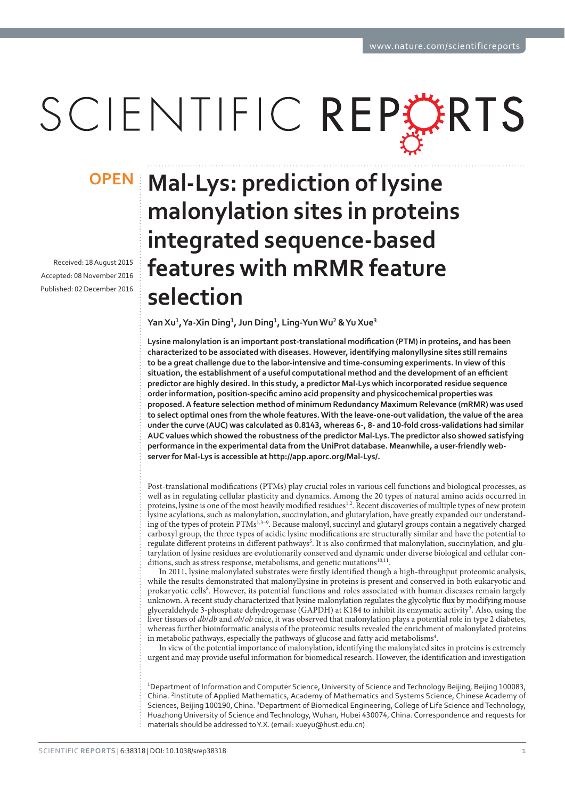# SCIENTIFIC REPLERTS

Received: 18 August 2015 Accepted: 08 November 2016 Published: 02 December 2016

## **OPEN Mal-Lys: prediction of lysine malonylation sites in proteins integrated sequence-based features with mRMR feature selection**

**Yan Xu<sup>1</sup>, Ya-Xin Ding<sup>1</sup>, Jun Ding<sup>1</sup>, Ling-Yun Wu<sup>2</sup> & Yu Xue<sup>3</sup>** 

Lysine malonylation is an important post-translational modification (PTM) in proteins, and has been **characterized to be associated with diseases. However, identifying malonyllysine sites still remains to be a great challenge due to the labor-intensive and time-consuming experiments. In view of this**  situation, the establishment of a useful computational method and the development of an efficient **predictor are highly desired. In this study, a predictor Mal-Lys which incorporated residue sequence**  order information, position-specific amino acid propensity and physicochemical properties was proposed. A feature selection method of minimum Redundancy Maximum Relevance (mRMR) was used **to select optimal ones from the whole features. With the leave-one-out validation, the value of the area**  under the curve (AUC) was calculated as 0.8143, whereas 6-, 8- and 10-fold cross-validations had similar AUC values which showed the robustness of the predictor Mal-Lys. The predictor also showed satisfying performance in the experimental data from the UniProt database. Meanwhile, a user-friendly web**server for Mal-Lys is accessible at http://app.aporc.org/Mal-Lys/.**

Post-translational modifications (PTMs) play crucial roles in various cell functions and biological processes, as well as in regulating cellular plasticity and dynamics. Among the 20 types of natural amino acids occurred in proteins, lysine is one of the most heavily modified residues<sup>1,2</sup>. Recent discoveries of multiple types of new protein proteins, lysine acylations, such as malonylation, succinylation, and glutarylation, have greatly expanded our understanding of the types of protein PTMs<sup>1,3–9</sup>. Because malonyl, succinyl and glutaryl groups contain a negatively charged carboxyl group, the three types of acidic lysine modifications are structurally similar and have the potential to regulate different proteins in different pathways<sup>5</sup>. It is also confirmed that malonylation, succinylation, and glutarylation of lysine residues are evolutionarily conserved and dynamic under diverse biological and cellular conditions, such as stress response, metabolisms, and genetic mutations<sup>10,11</sup>.

In 2011, lysine malonylated substrates were firstly identified though a high-throughput proteomic analysis, while the results demonstrated that malonyllysine in proteins is present and conserved in both eukaryotic and prokaryotic cells<sup>8</sup>. However, its potential functions and roles associated with human diseases remain largely unknown. A recent study characterized that lysine malonylation regulates the glycolytic flux by modifying mouse glyceraldehyde 3-phosphate dehydrogenase (GAPDH) at K184 to inhibit its enzymatic activity<sup>3</sup>. Also, using the liver tissues of  $db/db$  and  $obb/ob$  mice, it was observed that malonylation plays a potential role in type 2 diabetes, whereas further bioinformatic analysis of the proteomic results revealed the enrichment of malonylated proteins in metabolic pathways, especially the pathways of glucose and fatty acid metabolisms<sup>4</sup>.

In view of the potential importance of malonylation, identifying the malonylated sites in proteins is extremely urgent and may provide useful information for biomedical research. However, the identification and investigation

<sup>1</sup>Department of Information and Computer Science, University of Science and Technology Beijing, Beijing 100083, China. <sup>2</sup>Institute of Applied Mathematics, Academy of Mathematics and Systems Science, Chinese Academy of Sciences, Beijing 100190, China. <sup>3</sup>Department of Biomedical Engineering, College of Life Science and Technology, Huazhong University of Science and Technology, Wuhan, Hubei 430074, China. Correspondence and requests for materials should be addressed to Y.X. (email: xueyu@hust.edu.cn)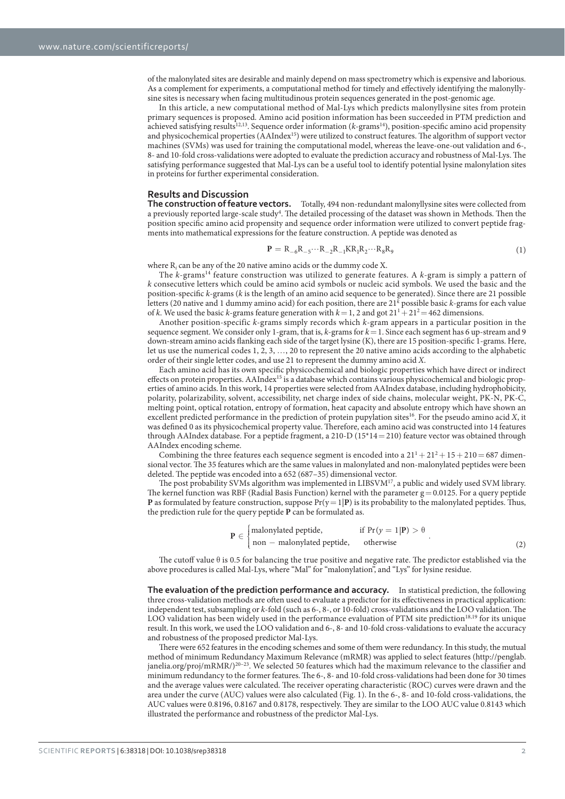of the malonylated sites are desirable and mainly depend on mass spectrometry which is expensive and laborious. As a complement for experiments, a computational method for timely and effectively identifying the malonyllysine sites is necessary when facing multitudinous protein sequences generated in the post-genomic age.

In this article, a new computational method of Mal-Lys which predicts malonyllysine sites from protein primary sequences is proposed. Amino acid position information has been succeeded in PTM prediction and achieved satisfying results<sup>12,13</sup>. Sequence order information ( $k$ -grams<sup>14</sup>), position-specific amino acid propensity and physicochemical properties (AAIndex15) were utilized to construct features. The algorithm of support vector machines (SVMs) was used for training the computational model, whereas the leave-one-out validation and 6-, 8- and 10-fold cross-validations were adopted to evaluate the prediction accuracy and robustness of Mal-Lys. The satisfying performance suggested that Mal-Lys can be a useful tool to identify potential lysine malonylation sites in proteins for further experimental consideration.

#### **Results and Discussion**

The construction of feature vectors. Totally, 494 non-redundant malonyllysine sites were collected from a previously reported large-scale study<sup>4</sup>. The detailed processing of the dataset was shown in Methods. Then the position specific amino acid propensity and sequence order information were utilized to convert peptide fragments into mathematical expressions for the feature construction. A peptide was denoted as

$$
\mathbf{P} = R_{-6}R_{-5}\cdots R_{-2}R_{-1}KR_1R_2\cdots R_8R_9
$$
 (1)

where  $R_i$  can be any of the 20 native amino acids or the dummy code X.

The  $k$ -grams<sup>14</sup> feature construction was utilized to generate features. A  $k$ -gram is simply a pattern of k consecutive letters which could be amino acid symbols or nucleic acid symbols. We used the basic and the position-specific k-grams (k is the length of an amino acid sequence to be generated). Since there are 21 possible letters (20 native and 1 dummy amino acid) for each position, there are  $21^k$  possible basic k-grams for each value of k. We used the basic k-grams feature generation with  $k = 1$ , 2 and got  $21<sup>1</sup> + 21<sup>2</sup> = 462$  dimensions.

Another position-specific k-grams simply records which k-gram appears in a particular position in the sequence segment. We consider only 1-gram, that is,  $k$ -grams for  $k = 1$ . Since each segment has 6 up-stream and 9 down-stream amino acids flanking each side of the target lysine (K), there are 15 position-specific 1-grams. Here, let us use the numerical codes 1, 2, 3, … , 20 to represent the 20 native amino acids according to the alphabetic order of their single letter codes, and use 21 to represent the dummy amino acid X.

Each amino acid has its own specific physicochemical and biologic properties which have direct or indirect effects on protein properties. AAIndex<sup>15</sup> is a database which contains various physicochemical and biologic properties of amino acids. In this work, 14 properties were selected from AAIndex database, including hydrophobicity, polarity, polarizability, solvent, accessibility, net charge index of side chains, molecular weight, PK-N, PK-C, melting point, optical rotation, entropy of formation, heat capacity and absolute entropy which have shown an excellent predicted performance in the prediction of protein pupylation sites<sup>16</sup>. For the pseudo amino acid  $X$ , it was defined 0 as its physicochemical property value. Therefore, each amino acid was constructed into 14 features through AAIndex database. For a peptide fragment, a  $210-D(15*14=210)$  feature vector was obtained through AAIndex encoding scheme.

Combining the three features each sequence segment is encoded into a  $21<sup>1</sup> + 21<sup>2</sup> + 15 + 210 = 687$  dimensional vector. The 35 features which are the same values in malonylated and non-malonylated peptides were been deleted. The peptide was encoded into a 652 (687–35) dimensional vector.

The post probability SVMs algorithm was implemented in LIBSVM<sup>17</sup>, a public and widely used SVM library. The kernel function was RBF (Radial Basis Function) kernel with the parameter  $g = 0.0125$ . For a query peptide **P** as formulated by feature construction, suppose  $Pr(y = 1 | P)$  is its probability to the malonylated peptides. Thus, the prediction rule for the query peptide **P** can be formulated as.

$$
\mathbf{P} \in \begin{cases} \text{malonylated peptide,} & \text{if } \Pr(y = 1 | \mathbf{P}) > \theta \\ \text{non} - \text{malonylated peptide,} & \text{otherwise} \end{cases} \tag{2}
$$

The cutoff value  $\theta$  is 0.5 for balancing the true positive and negative rate. The predictor established via the above procedures is called Mal-Lys, where "Mal" for "malonylation", and "Lys" for lysine residue.

The evaluation of the prediction performance and accuracy. In statistical prediction, the following three cross-validation methods are often used to evaluate a predictor for its effectiveness in practical application: independent test, subsampling or k-fold (such as 6-, 8-, or 10-fold) cross-validations and the LOO validation. The LOO validation has been widely used in the performance evaluation of PTM site prediction<sup>18,19</sup> for its unique result. In this work, we used the LOO validation and 6-, 8- and 10-fold cross-validations to evaluate the accuracy and robustness of the proposed predictor Mal-Lys.

There were 652 features in the encoding schemes and some of them were redundancy. In this study, the mutual method of minimum Redundancy Maximum Relevance (mRMR) was applied to select features (http://penglab. janelia.org/proj/mRMR/)<sup>20–23</sup>. We selected 50 features which had the maximum relevance to the classifier and minimum redundancy to the former features. The 6-, 8- and 10-fold cross-validations had been done for 30 times and the average values were calculated. The receiver operating characteristic (ROC) curves were drawn and the area under the curve (AUC) values were also calculated (Fig. 1). In the 6-, 8- and 10-fold cross-validations, the AUC values were 0.8196, 0.8167 and 0.8178, respectively. They are similar to the LOO AUC value 0.8143 which illustrated the performance and robustness of the predictor Mal-Lys.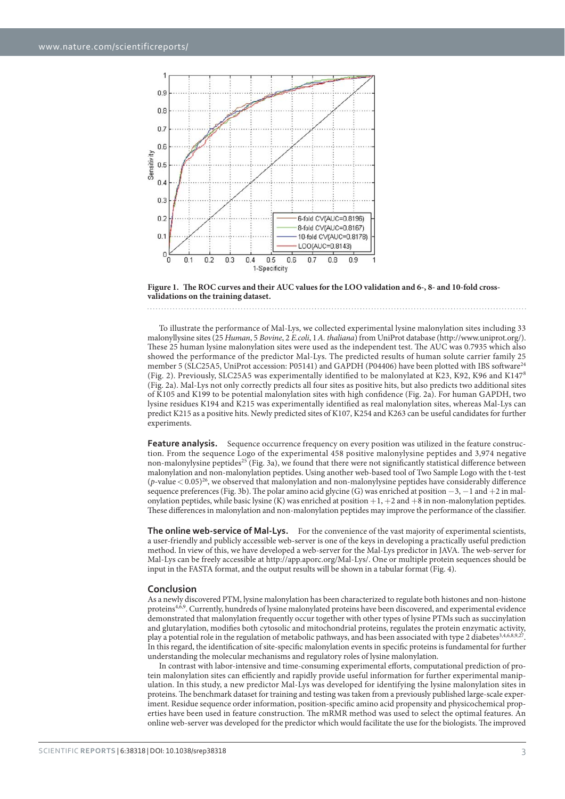

**Figure 1. The ROC curves and their AUC values for the LOO validation and 6-, 8- and 10-fold crossvalidations on the training dataset.** 

To illustrate the performance of Mal-Lys, we collected experimental lysine malonylation sites including 33 malonyllysine sites (25 Human, 5 Bovine, 2 E.coli, 1 A. thaliana) from UniProt database (http://www.uniprot.org/). These 25 human lysine malonylation sites were used as the independent test. The AUC was 0.7935 which also showed the performance of the predictor Mal-Lys. The predicted results of human solute carrier family 25 member 5 (SLC25A5, UniProt accession: P05141) and GAPDH (P04406) have been plotted with IBS software<sup>24</sup> (Fig. 2). Previously, SLC25A5 was experimentally identified to be malonylated at K23, K92, K96 and K1478 (Fig. 2a). Mal-Lys not only correctly predicts all four sites as positive hits, but also predicts two additional sites of K105 and K199 to be potential malonylation sites with high confidence (Fig. 2a). For human GAPDH, two lysine residues K194 and K215 was experimentally identified as real malonylation sites, whereas Mal-Lys can predict K215 as a positive hits. Newly predicted sites of K107, K254 and K263 can be useful candidates for further experiments.

**Feature analysis.** Sequence occurrence frequency on every position was utilized in the feature construction. From the sequence Logo of the experimental 458 positive malonylysine peptides and 3,974 negative non-malonylysine peptides<sup>25</sup> (Fig. 3a), we found that there were not significantly statistical difference between malonylation and non-malonylation peptides. Using another web-based tool of Two Sample Logo with the t-test  $(p$ -value  $< 0.05)^{26}$ , we observed that malonylation and non-malonylysine peptides have considerably difference sequence preferences (Fig. 3b). The polar amino acid glycine (G) was enriched at position −3, −1 and +2 in malonylation peptides, while basic lysine (K) was enriched at position  $+1$ ,  $+2$  and  $+8$  in non-malonylation peptides. These differences in malonylation and non-malonylation peptides may improve the performance of the classifier.

The online web-service of Mal-Lys. For the convenience of the vast majority of experimental scientists, a user-friendly and publicly accessible web-server is one of the keys in developing a practically useful prediction method. In view of this, we have developed a web-server for the Mal-Lys predictor in JAVA. The web-server for Mal-Lys can be freely accessible at http://app.aporc.org/Mal-Lys/. One or multiple protein sequences should be input in the FASTA format, and the output results will be shown in a tabular format (Fig. 4).

#### Conclusion

As a newly discovered PTM, lysine malonylation has been characterized to regulate both histones and non-histone proteins<sup>4,6,9</sup>. Currently, hundreds of lysine malonylated proteins have been discovered, and experimental evidence demonstrated that malonylation frequently occur together with other types of lysine PTMs such as succinylation and glutarylation, modifies both cytosolic and mitochondrial proteins, regulates the protein enzymatic activity, play a potential role in the regulation of metabolic pathways, and has been associated with type 2 diabetes<sup>3,4,6,8,9,27</sup>. In this regard, the identification of site-specific malonylation events in specific proteins is fundamental for further understanding the molecular mechanisms and regulatory roles of lysine malonylation.

In contrast with labor-intensive and time-consuming experimental efforts, computational prediction of protein malonylation sites can efficiently and rapidly provide useful information for further experimental manipulation. In this study, a new predictor Mal-Lys was developed for identifying the lysine malonylation sites in proteins. The benchmark dataset for training and testing was taken from a previously published large-scale experiment. Residue sequence order information, position-specific amino acid propensity and physicochemical properties have been used in feature construction. The mRMR method was used to select the optimal features. An online web-server was developed for the predictor which would facilitate the use for the biologists. The improved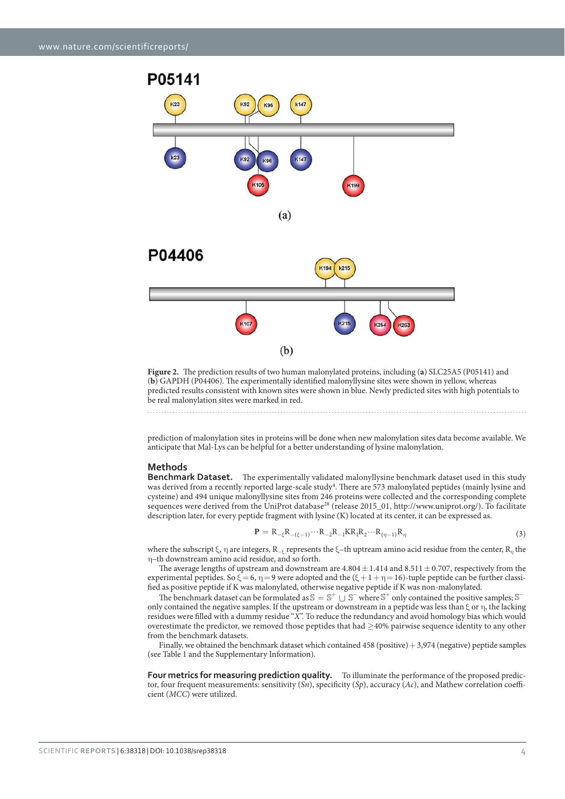

**Figure 2.** The prediction results of two human malonylated proteins, including (**a**) SLC25A5 (P05141) and (**b**) GAPDH (P04406). The experimentally identified malonyllysine sites were shown in yellow, whereas predicted results consistent with known sites were shown in blue. Newly predicted sites with high potentials to be real malonylation sites were marked in red.

prediction of malonylation sites in proteins will be done when new malonylation sites data become available. We anticipate that Mal-Lys can be helpful for a better understanding of lysine malonylation.

#### **Methods**

**Benchmark Dataset.** The experimentally validated malonyllysine benchmark dataset used in this study was derived from a recently reported large-scale study<sup>4</sup>. There are 573 malonylated peptides (mainly lysine and cysteine) and 494 unique malonyllysine sites from 246 proteins were collected and the corresponding complete sequences were derived from the UniProt database<sup>28</sup> (release 2015 01, http://www.uniprot.org/). To facilitate description later, for every peptide fragment with lysine (K) located at its center, it can be expressed as.

$$
\mathbf{P} = R_{-\xi}R_{-(\xi-1)}\cdots R_{-2}R_{-1}KR_1R_2\cdots R_{(\eta-1)}R_{\eta}
$$
\n(3)

where the subscript ξ, η are integers, R<sub>−ε</sub> represents the ξ-th uptream amino acid residue from the center, R<sub>*η*</sub> the η –th downstream amino acid residue, and so forth.

The average lengths of upstream and downstream are  $4.804 \pm 1.414$  and  $8.511 \pm 0.707$ , respectively from the experimental peptides. So  $\xi = 6$ ,  $\eta = 9$  were adopted and the  $(\xi + 1 + \eta = 16)$ -tuple peptide can be further classified as positive peptide if K was malonylated, otherwise negative peptide if K was non-malonylated.

The benchmark dataset can be formulated as  $\mathcal{S} = \mathcal{S}^+ \cup \mathcal{S}^-$  where  $\mathcal{S}^+$  only contained the positive samples;  $\mathcal{S}^$ only contained the negative samples. If the upstream or downstream in a peptide was less than ξ or η , the lacking residues were filled with a dummy residue "X". To reduce the redundancy and avoid homology bias which would overestimate the predictor, we removed those peptides that had ≥ 40% pairwise sequence identity to any other from the benchmark datasets.

Finally, we obtained the benchmark dataset which contained 458 (positive) + 3,974 (negative) peptide samples (see Table 1 and the Supplementary Information).

**Four metrics for measuring prediction quality.** To illuminate the performance of the proposed predictor, four frequent measurements: sensitivity  $(Sn)$ , specificity  $(Sp)$ , accuracy  $(Ac)$ , and Mathew correlation coefficient (MCC) were utilized.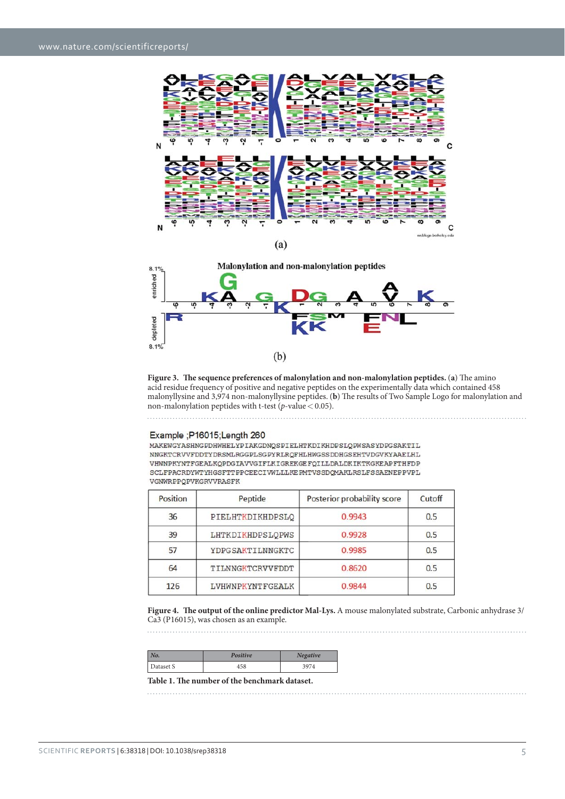



**Figure 3. The sequence preferences of malonylation and non-malonylation peptides.** (**a**) The amino acid residue frequency of positive and negative peptides on the experimentally data which contained 458 malonyllysine and 3,974 non-malonyllysine peptides. (**b**) The results of Two Sample Logo for malonylation and non-malonylation peptides with t-test ( $p$ -value < 0.05).

### Example ; P16015; Length 260

and a complete state of the

MAKEWGYASHNGPDHWHELYPIAKGDNQSPIELHTKDIKHDPSLQPWSASYDPGSAKTIL NNGKTCRVVFDDTYDRSMLRGGPLSGPYRLRQFHLHWGSSDDHGSEHTVDGVKYAAELHL VHWNPKYNTFGEALKQPDGIAVVGIFLKIGREKGEFQILLDALDKIKTKGKEAPFTHFDP SCLFPACRDYWTYHGSFTTPPCEECIWLLLKEPMTVSSDQMAKLRSLFSSAENEPPVPL VGNWRPPQPVKGRVVRASFK

| Position | Peptide          | Posterior probability score | Cutoff |
|----------|------------------|-----------------------------|--------|
| 36       | PIELHTKDIKHDPSLO | 0.9943                      | 0.5    |
| 39       | LHTKDIKHDPSLQPWS | 0.9928                      | 0.5    |
| 57       | YDPGSAKTILNNGKTC | 0.9985                      | 0.5    |
| 64       | TILNNGKTCRVVFDDT | 0.8620                      | 0.5    |
| 126      | LVHWNPKYNTFGEALK | 0.9844                      | 0.5    |

**Figure 4. The output of the online predictor Mal-Lys.** A mouse malonylated substrate, Carbonic anhydrase 3/ Ca3 (P16015), was chosen as an example.

| No.       | Positive | <b>Negative</b> |
|-----------|----------|-----------------|
| Dataset S | 458      | 3974            |
|           |          |                 |

**Table 1. The number of the benchmark dataset.**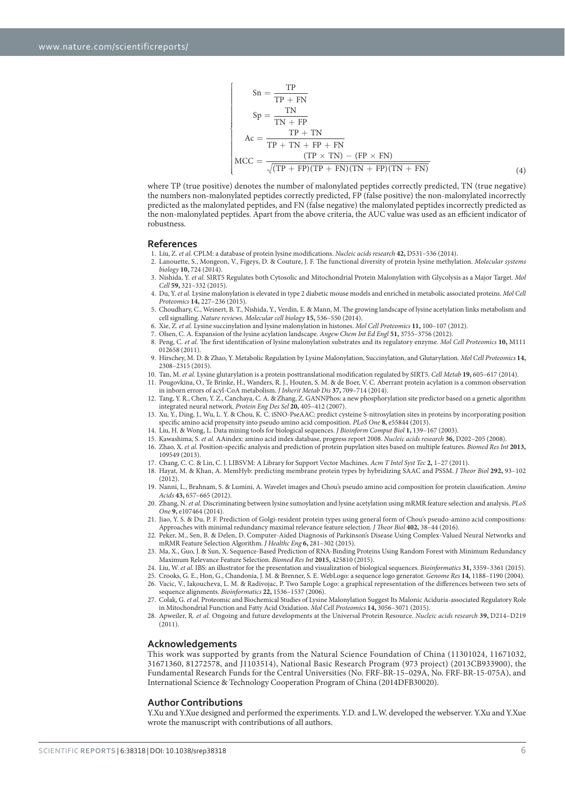$$
Sn = \frac{TP}{TP + FN}
$$
\n
$$
Sp = \frac{TN}{TN + FP}
$$
\n
$$
Ac = \frac{TP + TN}{TP + TN + FP + FN}
$$
\n
$$
MCC = \frac{(TP \times TN) - (FP \times FN)}{\sqrt{(TP + FP)(TP + FN)(TN + FP)(TN + FN)}}
$$
\n(4)

where TP (true positive) denotes the number of malonylated peptides correctly predicted, TN (true negative) the numbers non-malonylated peptides correctly predicted, FP (false positive) the non-malonylated incorrectly predicted as the malonylated peptides, and FN (false negative) the malonylated peptides incorrectly predicted as the non-malonylated peptides. Apart from the above criteria, the AUC value was used as an efficient indicator of robustness.

#### **References**

- 1. Liu, Z. et al. CPLM: a database of protein lysine modifications. Nucleic acids research **42,** D531–536 (2014).
- 2. Lanouette, S., Mongeon, V., Figeys, D. & Couture, J. F. The functional diversity of protein lysine methylation. Molecular systems biology **10,** 724 (2014).
- 3. Nishida, Y. et al. SIRT5 Regulates both Cytosolic and Mitochondrial Protein Malonylation with Glycolysis as a Major Target. Mol Cell **59,** 321–332 (2015).
- 4. Du, Y. et al. Lysine malonylation is elevated in type 2 diabetic mouse models and enriched in metabolic associated proteins. Mol Cell Proteomics **14,** 227–236 (2015).
- 5. Choudhary, C., Weinert, B. T., Nishida, Y., Verdin, E. & Mann, M. The growing landscape of lysine acetylation links metabolism and cell signalling. Nature reviews. Molecular cell biology **15,** 536–550 (2014).
- 6. Xie, Z. et al. Lysine succinylation and lysine malonylation in histones. Mol Cell Proteomics **11,** 100–107 (2012).
- 7. Olsen, C. A. Expansion of the lysine acylation landscape. Angew Chem Int Ed Engl **51,** 3755–3756 (2012).
- 8. Peng, C. et al. The first identification of lysine malonylation substrates and its regulatory enzyme. Mol Cell Proteomics **10,** M111 012658 (2011).
- 9. Hirschey, M. D. & Zhao, Y. Metabolic Regulation by Lysine Malonylation, Succinylation, and Glutarylation. Mol Cell Proteomics **14,** 2308–2315 (2015).
- 10. Tan, M. et al. Lysine glutarylation is a protein posttranslational modification regulated by SIRT5. Cell Metab **19,** 605–617 (2014).
- 11. Pougovkina, O., Te Brinke, H., Wanders, R. J., Houten, S. M. & de Boer, V. C. Aberrant protein acylation is a common observation in inborn errors of acyl-CoA metabolism. J Inherit Metab Dis **37,** 709–714 (2014).
- 12. Tang, Y. R., Chen, Y. Z., Canchaya, C. A. & Zhang, Z. GANNPhos: a new phosphorylation site predictor based on a genetic algorithm integrated neural network. Protein Eng Des Sel **20,** 405–412 (2007).
- 13. Xu, Y., Ding, J., Wu, L. Y. & Chou, K. C. iSNO-PseAAC: predict cysteine S-nitrosylation sites in proteins by incorporating position specific amino acid propensity into pseudo amino acid composition. PLoS One **8,** e55844 (2013).
- 14. Liu, H. & Wong, L. Data mining tools for biological sequences. J Bioinform Comput Biol **1,** 139–167 (2003).
- 15. Kawashima, S. et al. AAindex: amino acid index database, progress report 2008. Nucleic acids research **36,** D202–205 (2008). 16. Zhao, X. et al. Position-specific analysis and prediction of protein pupylation sites based on multiple features. Biomed Res Int **2013,**
	- 109549 (2013).
- 17. Chang, C. C. & Lin, C. J. LIBSVM: A Library for Support Vector Machines. Acm T Intel Syst Tec **2,** 1–27 (2011). 18. Hayat, M. & Khan, A. MemHyb: predicting membrane protein types by hybridizing SAAC and PSSM. J Theor Biol **292,** 93–102 (2012).
- 19. Nanni, L., Brahnam, S. & Lumini, A. Wavelet images and Chou's pseudo amino acid composition for protein classification. Amino Acids **43,** 657–665 (2012).
- 20. Zhang, N. et al. Discriminating between lysine sumoylation and lysine acetylation using mRMR feature selection and analysis. PLoS One **9,** e107464 (2014).
- 21. Jiao, Y. S. & Du, P. F. Prediction of Golgi-resident protein types using general form of Chou's pseudo-amino acid compositions: Approaches with minimal redundancy maximal relevance feature selection. J Theor Biol **402,** 38–44 (2016).
- 22. Peker, M., Sen, B. & Delen, D. Computer-Aided Diagnosis of Parkinson's Disease Using Complex-Valued Neural Networks and mRMR Feature Selection Algorithm. J Healthc Eng **6,** 281–302 (2015).
- 23. Ma, X., Guo, J. & Sun, X. Sequence-Based Prediction of RNA-Binding Proteins Using Random Forest with Minimum Redundancy Maximum Relevance Feature Selection. Biomed Res Int **2015,** 425810 (2015).
- 24. Liu, W. et al. IBS: an illustrator for the presentation and visualization of biological sequences. Bioinformatics **31,** 3359–3361 (2015).
- 25. Crooks, G. E., Hon, G., Chandonia, J. M. & Brenner, S. E. WebLogo: a sequence logo generator. Genome Res **14,** 1188–1190 (2004). 26. Vacic, V., Iakoucheva, L. M. & Radivojac, P. Two Sample Logo: a graphical representation of the differences between two sets of
	- sequence alignments. Bioinformatics  $22$ , 1536-1537 (2006).
- 27. Colak, G. et al. Proteomic and Biochemical Studies of Lysine Malonylation Suggest Its Malonic Aciduria-associated Regulatory Role in Mitochondrial Function and Fatty Acid Oxidation. Mol Cell Proteomics **14,** 3056–3071 (2015).
- 28. Apweiler, R. et al. Ongoing and future developments at the Universal Protein Resource. Nucleic acids research **39,** D214–D219 (2011).

#### **Acknowledgements**

This work was supported by grants from the Natural Science Foundation of China (11301024, 11671032, 31671360, 81272578, and J1103514), National Basic Research Program (973 project) (2013CB933900), the Fundamental Research Funds for the Central Universities (No. FRF-BR-15–029A, No. FRF-BR-15-075A), and International Science & Technology Cooperation Program of China (2014DFB30020).

#### **Author Contributions**

Y.Xu and Y.Xue designed and performed the experiments. Y.D. and L.W. developed the webserver. Y.Xu and Y.Xue wrote the manuscript with contributions of all authors.